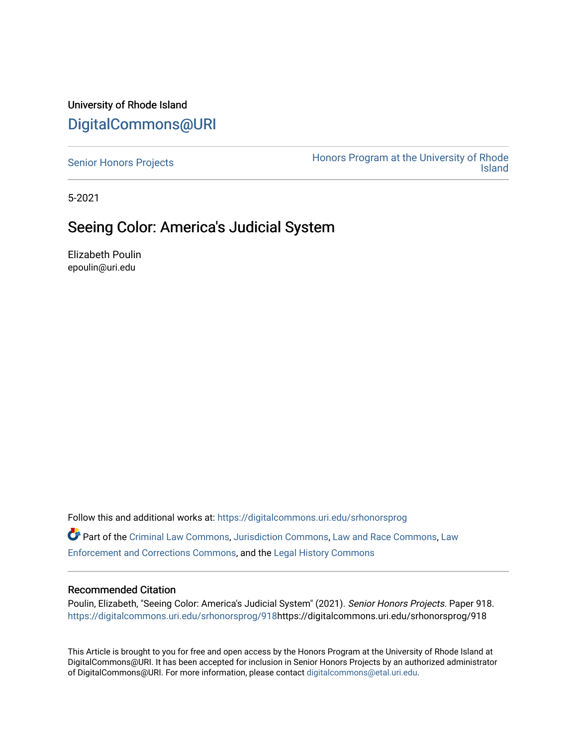## University of Rhode Island [DigitalCommons@URI](https://digitalcommons.uri.edu/)

[Senior Honors Projects](https://digitalcommons.uri.edu/srhonorsprog) **Honors Program at the University of Rhode**<br>Island [Island](https://digitalcommons.uri.edu/honors_prog) 

5-2021

## Seeing Color: America's Judicial System

Elizabeth Poulin epoulin@uri.edu

Follow this and additional works at: [https://digitalcommons.uri.edu/srhonorsprog](https://digitalcommons.uri.edu/srhonorsprog?utm_source=digitalcommons.uri.edu%2Fsrhonorsprog%2F918&utm_medium=PDF&utm_campaign=PDFCoverPages) Part of the [Criminal Law Commons,](http://network.bepress.com/hgg/discipline/912?utm_source=digitalcommons.uri.edu%2Fsrhonorsprog%2F918&utm_medium=PDF&utm_campaign=PDFCoverPages) [Jurisdiction Commons,](http://network.bepress.com/hgg/discipline/850?utm_source=digitalcommons.uri.edu%2Fsrhonorsprog%2F918&utm_medium=PDF&utm_campaign=PDFCoverPages) [Law and Race Commons,](http://network.bepress.com/hgg/discipline/1300?utm_source=digitalcommons.uri.edu%2Fsrhonorsprog%2F918&utm_medium=PDF&utm_campaign=PDFCoverPages) [Law](http://network.bepress.com/hgg/discipline/854?utm_source=digitalcommons.uri.edu%2Fsrhonorsprog%2F918&utm_medium=PDF&utm_campaign=PDFCoverPages)  [Enforcement and Corrections Commons,](http://network.bepress.com/hgg/discipline/854?utm_source=digitalcommons.uri.edu%2Fsrhonorsprog%2F918&utm_medium=PDF&utm_campaign=PDFCoverPages) and the [Legal History Commons](http://network.bepress.com/hgg/discipline/904?utm_source=digitalcommons.uri.edu%2Fsrhonorsprog%2F918&utm_medium=PDF&utm_campaign=PDFCoverPages) 

## Recommended Citation

Poulin, Elizabeth, "Seeing Color: America's Judicial System" (2021). Senior Honors Projects. Paper 918. [https://digitalcommons.uri.edu/srhonorsprog/918](https://digitalcommons.uri.edu/srhonorsprog/918?utm_source=digitalcommons.uri.edu%2Fsrhonorsprog%2F918&utm_medium=PDF&utm_campaign=PDFCoverPages)https://digitalcommons.uri.edu/srhonorsprog/918

This Article is brought to you for free and open access by the Honors Program at the University of Rhode Island at DigitalCommons@URI. It has been accepted for inclusion in Senior Honors Projects by an authorized administrator of DigitalCommons@URI. For more information, please contact [digitalcommons@etal.uri.edu](mailto:digitalcommons@etal.uri.edu).